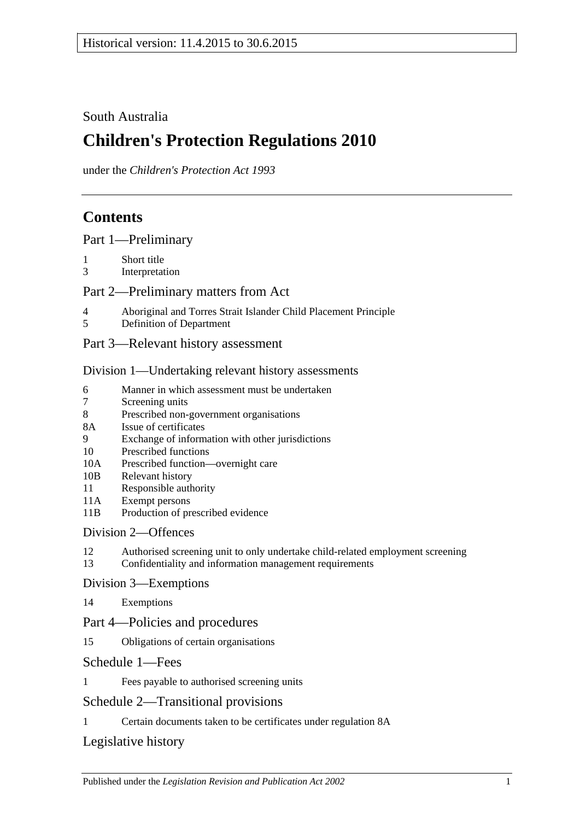## South Australia

# **Children's Protection Regulations 2010**

under the *Children's Protection Act 1993*

# **Contents**

[Part 1—Preliminary](#page-1-0)

- 1 [Short title](#page-1-1)
- 3 [Interpretation](#page-1-2)

### [Part 2—Preliminary matters from Act](#page-1-3)

- 4 [Aboriginal and Torres Strait Islander Child Placement Principle](#page-1-4)
- 5 [Definition of Department](#page-2-0)
- [Part 3—Relevant history assessment](#page-2-1)

#### [Division 1—Undertaking relevant history assessments](#page-2-2)

- 6 [Manner in which assessment must be undertaken](#page-2-3)<br>
Screening units
- [Screening units](#page-3-0)
- 8 [Prescribed non-government organisations](#page-3-1)
- 8A [Issue of certificates](#page-4-0)
- 9 [Exchange of information with other jurisdictions](#page-4-1)
- 10 [Prescribed functions](#page-4-2)
- 10A [Prescribed function—overnight care](#page-5-0)
- 10B [Relevant history](#page-5-1)
- 11 [Responsible](#page-5-2) authority
- 11A [Exempt persons](#page-6-0)
- 11B [Production of prescribed evidence](#page-6-1)

### [Division 2—Offences](#page-6-2)

- 12 [Authorised screening unit to only undertake child-related employment screening](#page-6-3)
- 13 [Confidentiality and information management requirements](#page-7-0)

#### [Division 3—Exemptions](#page-8-0)

14 [Exemptions](#page-8-1)

## Part [4—Policies and procedures](#page-9-0)

15 [Obligations of certain organisations](#page-9-1)

#### [Schedule 1—Fees](#page-9-2)

1 [Fees payable to authorised screening units](#page-9-3)

## [Schedule 2—Transitional provisions](#page-9-4)

1 [Certain documents taken to be certificates under regulation](#page-9-5) 8A

## [Legislative history](#page-11-0)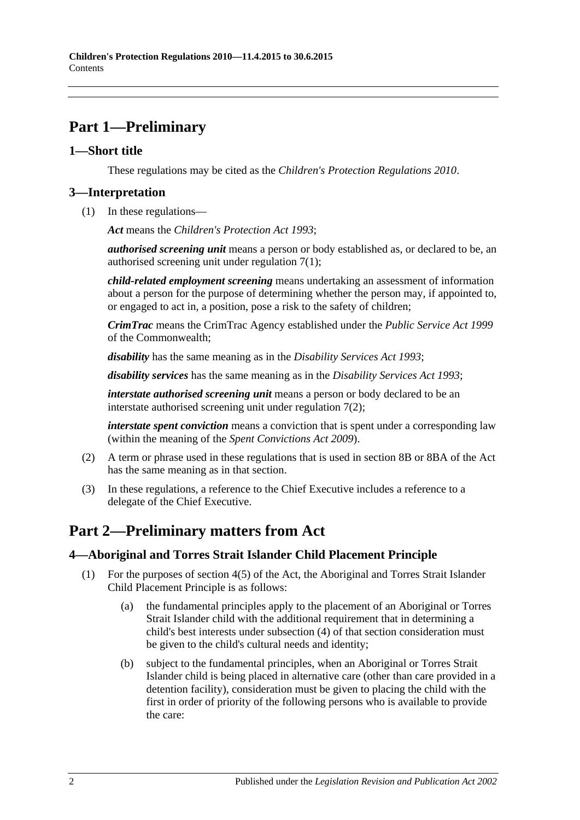# <span id="page-1-0"></span>**Part 1—Preliminary**

### <span id="page-1-1"></span>**1—Short title**

These regulations may be cited as the *Children's Protection Regulations 2010*.

## <span id="page-1-2"></span>**3—Interpretation**

(1) In these regulations—

*Act* means the *[Children's Protection Act](http://www.legislation.sa.gov.au/index.aspx?action=legref&type=act&legtitle=Childrens%20Protection%20Act%201993) 1993*;

*authorised screening unit* means a person or body established as, or declared to be, an authorised screening unit under [regulation](#page-3-2) 7(1);

*child-related employment screening* means undertaking an assessment of information about a person for the purpose of determining whether the person may, if appointed to, or engaged to act in, a position, pose a risk to the safety of children;

*CrimTrac* means the CrimTrac Agency established under the *Public Service Act 1999* of the Commonwealth;

*disability* has the same meaning as in the *[Disability Services Act](http://www.legislation.sa.gov.au/index.aspx?action=legref&type=act&legtitle=Disability%20Services%20Act%201993) 1993*;

*disability services* has the same meaning as in the *[Disability Services Act](http://www.legislation.sa.gov.au/index.aspx?action=legref&type=act&legtitle=Disability%20Services%20Act%201993) 1993*;

*interstate authorised screening unit* means a person or body declared to be an interstate authorised screening unit under [regulation](#page-3-3) 7(2);

*interstate spent conviction* means a conviction that is spent under a corresponding law (within the meaning of the *[Spent Convictions Act](http://www.legislation.sa.gov.au/index.aspx?action=legref&type=act&legtitle=Spent%20Convictions%20Act%202009) 2009*).

- (2) A term or phrase used in these regulations that is used in section 8B or 8BA of the Act has the same meaning as in that section.
- (3) In these regulations, a reference to the Chief Executive includes a reference to a delegate of the Chief Executive.

## <span id="page-1-3"></span>**Part 2—Preliminary matters from Act**

## <span id="page-1-4"></span>**4—Aboriginal and Torres Strait Islander Child Placement Principle**

- <span id="page-1-5"></span>(1) For the purposes of section 4(5) of the Act, the Aboriginal and Torres Strait Islander Child Placement Principle is as follows:
	- (a) the fundamental principles apply to the placement of an Aboriginal or Torres Strait Islander child with the additional requirement that in determining a child's best interests under subsection (4) of that section consideration must be given to the child's cultural needs and identity;
	- (b) subject to the fundamental principles, when an Aboriginal or Torres Strait Islander child is being placed in alternative care (other than care provided in a detention facility), consideration must be given to placing the child with the first in order of priority of the following persons who is available to provide the care: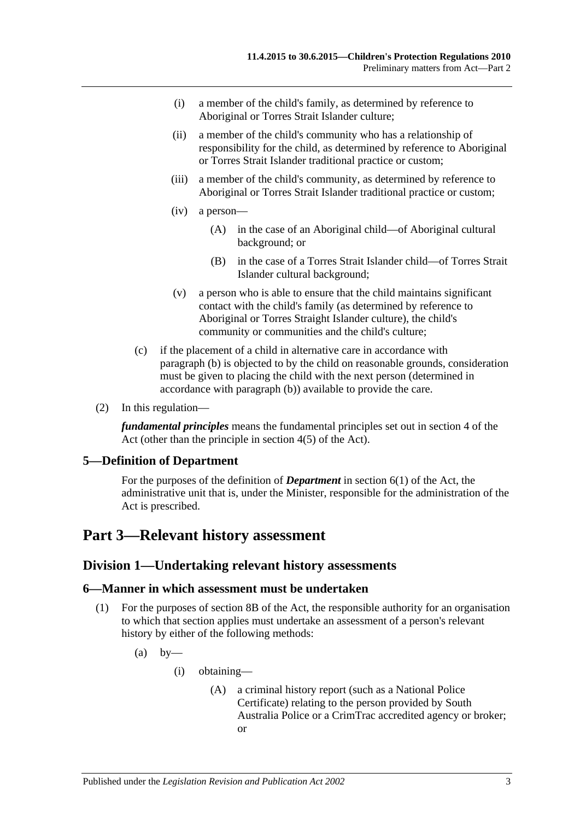- (i) a member of the child's family, as determined by reference to Aboriginal or Torres Strait Islander culture;
- (ii) a member of the child's community who has a relationship of responsibility for the child, as determined by reference to Aboriginal or Torres Strait Islander traditional practice or custom;
- (iii) a member of the child's community, as determined by reference to Aboriginal or Torres Strait Islander traditional practice or custom;
- (iv) a person—
	- (A) in the case of an Aboriginal child—of Aboriginal cultural background; or
	- (B) in the case of a Torres Strait Islander child—of Torres Strait Islander cultural background;
- (v) a person who is able to ensure that the child maintains significant contact with the child's family (as determined by reference to Aboriginal or Torres Straight Islander culture), the child's community or communities and the child's culture;
- (c) if the placement of a child in alternative care in accordance with [paragraph](#page-1-5) (b) is objected to by the child on reasonable grounds, consideration must be given to placing the child with the next person (determined in accordance with [paragraph](#page-1-5) (b)) available to provide the care.
- (2) In this regulation—

*fundamental principles* means the fundamental principles set out in section 4 of the Act (other than the principle in section 4(5) of the Act).

#### <span id="page-2-0"></span>**5—Definition of Department**

For the purposes of the definition of *Department* in section 6(1) of the Act, the administrative unit that is, under the Minister, responsible for the administration of the Act is prescribed.

## <span id="page-2-2"></span><span id="page-2-1"></span>**Part 3—Relevant history assessment**

#### **Division 1—Undertaking relevant history assessments**

#### <span id="page-2-3"></span>**6—Manner in which assessment must be undertaken**

- <span id="page-2-4"></span>(1) For the purposes of section 8B of the Act, the responsible authority for an organisation to which that section applies must undertake an assessment of a person's relevant history by either of the following methods:
	- $(a)$  by
		- (i) obtaining—
			- (A) a criminal history report (such as a National Police Certificate) relating to the person provided by South Australia Police or a CrimTrac accredited agency or broker; or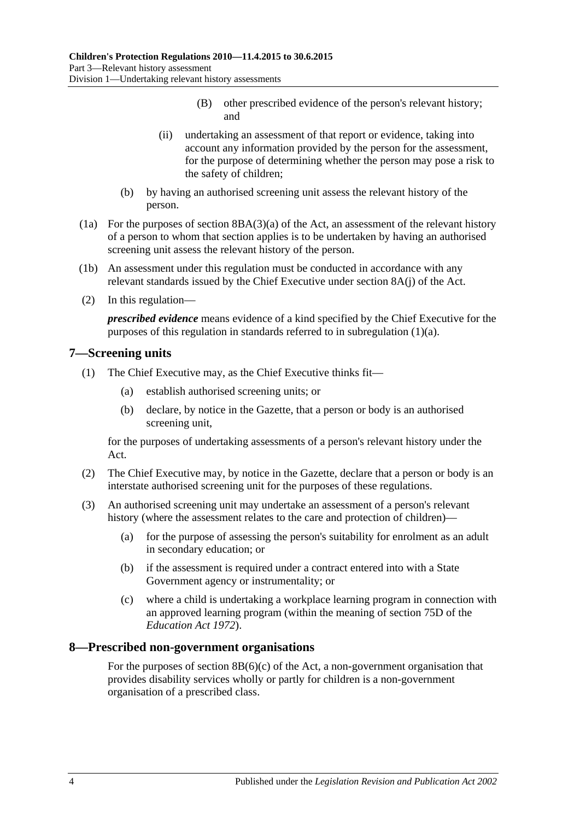- (B) other prescribed evidence of the person's relevant history; and
- (ii) undertaking an assessment of that report or evidence, taking into account any information provided by the person for the assessment, for the purpose of determining whether the person may pose a risk to the safety of children;
- (b) by having an authorised screening unit assess the relevant history of the person.
- (1a) For the purposes of section 8BA(3)(a) of the Act, an assessment of the relevant history of a person to whom that section applies is to be undertaken by having an authorised screening unit assess the relevant history of the person.
- (1b) An assessment under this regulation must be conducted in accordance with any relevant standards issued by the Chief Executive under section 8A(j) of the Act.
- (2) In this regulation—

*prescribed evidence* means evidence of a kind specified by the Chief Executive for the purposes of this regulation in standards referred to in [subregulation](#page-2-4) (1)(a).

#### <span id="page-3-2"></span><span id="page-3-0"></span>**7—Screening units**

- <span id="page-3-4"></span>(1) The Chief Executive may, as the Chief Executive thinks fit—
	- (a) establish authorised screening units; or
	- (b) declare, by notice in the Gazette, that a person or body is an authorised screening unit,

for the purposes of undertaking assessments of a person's relevant history under the Act.

- <span id="page-3-3"></span>(2) The Chief Executive may, by notice in the Gazette, declare that a person or body is an interstate authorised screening unit for the purposes of these regulations.
- <span id="page-3-5"></span>(3) An authorised screening unit may undertake an assessment of a person's relevant history (where the assessment relates to the care and protection of children)—
	- (a) for the purpose of assessing the person's suitability for enrolment as an adult in secondary education; or
	- (b) if the assessment is required under a contract entered into with a State Government agency or instrumentality; or
	- (c) where a child is undertaking a workplace learning program in connection with an approved learning program (within the meaning of section 75D of the *[Education Act](http://www.legislation.sa.gov.au/index.aspx?action=legref&type=act&legtitle=Education%20Act%201972) 1972*).

#### <span id="page-3-1"></span>**8—Prescribed non-government organisations**

For the purposes of section  $8B(6)(c)$  of the Act, a non-government organisation that provides disability services wholly or partly for children is a non-government organisation of a prescribed class.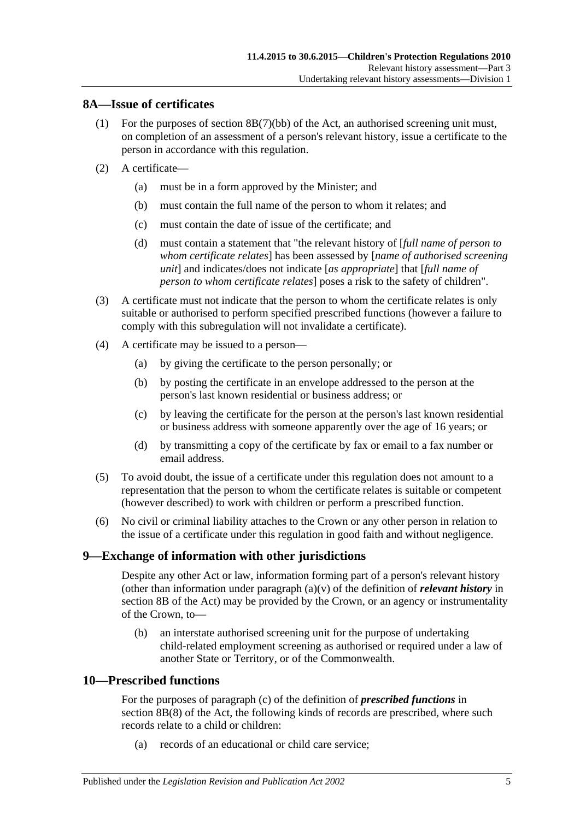#### <span id="page-4-0"></span>**8A—Issue of certificates**

- (1) For the purposes of section 8B(7)(bb) of the Act, an authorised screening unit must, on completion of an assessment of a person's relevant history, issue a certificate to the person in accordance with this regulation.
- (2) A certificate—
	- (a) must be in a form approved by the Minister; and
	- (b) must contain the full name of the person to whom it relates; and
	- (c) must contain the date of issue of the certificate; and
	- (d) must contain a statement that "the relevant history of [*full name of person to whom certificate relates*] has been assessed by [*name of authorised screening unit*] and indicates/does not indicate [*as appropriate*] that [*full name of person to whom certificate relates*] poses a risk to the safety of children".
- (3) A certificate must not indicate that the person to whom the certificate relates is only suitable or authorised to perform specified prescribed functions (however a failure to comply with this subregulation will not invalidate a certificate).
- (4) A certificate may be issued to a person—
	- (a) by giving the certificate to the person personally; or
	- (b) by posting the certificate in an envelope addressed to the person at the person's last known residential or business address; or
	- (c) by leaving the certificate for the person at the person's last known residential or business address with someone apparently over the age of 16 years; or
	- (d) by transmitting a copy of the certificate by fax or email to a fax number or email address.
- (5) To avoid doubt, the issue of a certificate under this regulation does not amount to a representation that the person to whom the certificate relates is suitable or competent (however described) to work with children or perform a prescribed function.
- (6) No civil or criminal liability attaches to the Crown or any other person in relation to the issue of a certificate under this regulation in good faith and without negligence.

#### <span id="page-4-1"></span>**9—Exchange of information with other jurisdictions**

Despite any other Act or law, information forming part of a person's relevant history (other than information under paragraph (a)(v) of the definition of *relevant history* in section 8B of the Act) may be provided by the Crown, or an agency or instrumentality of the Crown, to—

(b) an interstate authorised screening unit for the purpose of undertaking child-related employment screening as authorised or required under a law of another State or Territory, or of the Commonwealth.

## <span id="page-4-2"></span>**10—Prescribed functions**

For the purposes of paragraph (c) of the definition of *prescribed functions* in section 8B(8) of the Act, the following kinds of records are prescribed, where such records relate to a child or children:

(a) records of an educational or child care service;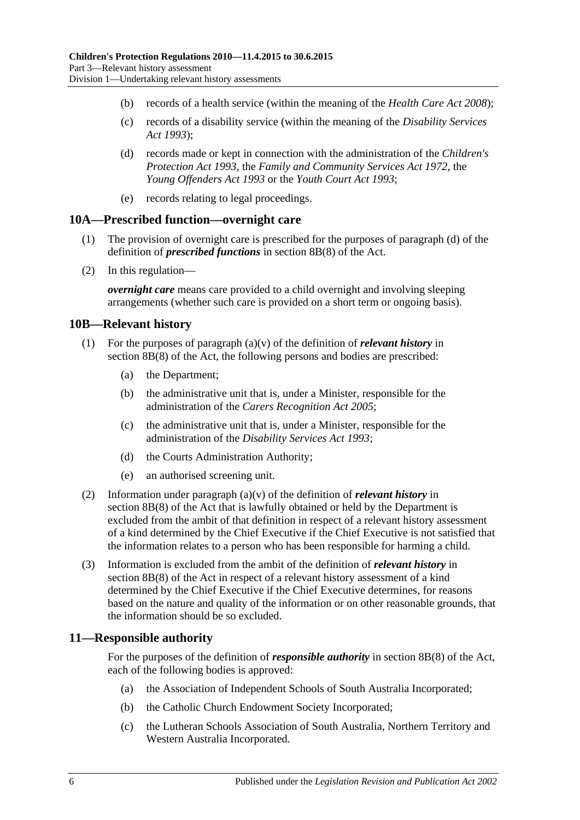- (b) records of a health service (within the meaning of the *[Health Care Act](http://www.legislation.sa.gov.au/index.aspx?action=legref&type=act&legtitle=Health%20Care%20Act%202008) 2008*);
- (c) records of a disability service (within the meaning of the *[Disability Services](http://www.legislation.sa.gov.au/index.aspx?action=legref&type=act&legtitle=Disability%20Services%20Act%201993)  Act [1993](http://www.legislation.sa.gov.au/index.aspx?action=legref&type=act&legtitle=Disability%20Services%20Act%201993)*);
- (d) records made or kept in connection with the administration of the *[Children's](http://www.legislation.sa.gov.au/index.aspx?action=legref&type=act&legtitle=Childrens%20Protection%20Act%201993)  [Protection Act](http://www.legislation.sa.gov.au/index.aspx?action=legref&type=act&legtitle=Childrens%20Protection%20Act%201993) 1993*, the *[Family and Community Services Act](http://www.legislation.sa.gov.au/index.aspx?action=legref&type=act&legtitle=Family%20and%20Community%20Services%20Act%201972) 1972*, the *[Young Offenders Act](http://www.legislation.sa.gov.au/index.aspx?action=legref&type=act&legtitle=Young%20Offenders%20Act%201993) 1993* or the *[Youth Court Act](http://www.legislation.sa.gov.au/index.aspx?action=legref&type=act&legtitle=Youth%20Court%20Act%201993) 1993*;
- (e) records relating to legal proceedings.

#### <span id="page-5-0"></span>**10A—Prescribed function—overnight care**

- (1) The provision of overnight care is prescribed for the purposes of paragraph (d) of the definition of *prescribed functions* in section 8B(8) of the Act.
- (2) In this regulation—

*overnight care* means care provided to a child overnight and involving sleeping arrangements (whether such care is provided on a short term or ongoing basis).

#### <span id="page-5-1"></span>**10B—Relevant history**

- (1) For the purposes of paragraph  $(a)(v)$  of the definition of *relevant history* in section 8B(8) of the Act, the following persons and bodies are prescribed:
	- (a) the Department;
	- (b) the administrative unit that is, under a Minister, responsible for the administration of the *[Carers Recognition Act](http://www.legislation.sa.gov.au/index.aspx?action=legref&type=act&legtitle=Carers%20Recognition%20Act%202005) 2005*;
	- (c) the administrative unit that is, under a Minister, responsible for the administration of the *[Disability Services Act](http://www.legislation.sa.gov.au/index.aspx?action=legref&type=act&legtitle=Disability%20Services%20Act%201993) 1993*;
	- (d) the Courts Administration Authority;
	- (e) an authorised screening unit.
- (2) Information under paragraph (a)(v) of the definition of *relevant history* in section 8B(8) of the Act that is lawfully obtained or held by the Department is excluded from the ambit of that definition in respect of a relevant history assessment of a kind determined by the Chief Executive if the Chief Executive is not satisfied that the information relates to a person who has been responsible for harming a child.
- (3) Information is excluded from the ambit of the definition of *relevant history* in section 8B(8) of the Act in respect of a relevant history assessment of a kind determined by the Chief Executive if the Chief Executive determines, for reasons based on the nature and quality of the information or on other reasonable grounds, that the information should be so excluded.

#### <span id="page-5-2"></span>**11—Responsible authority**

For the purposes of the definition of *responsible authority* in section 8B(8) of the Act, each of the following bodies is approved:

- (a) the Association of Independent Schools of South Australia Incorporated;
- (b) the Catholic Church Endowment Society Incorporated;
- (c) the Lutheran Schools Association of South Australia, Northern Territory and Western Australia Incorporated.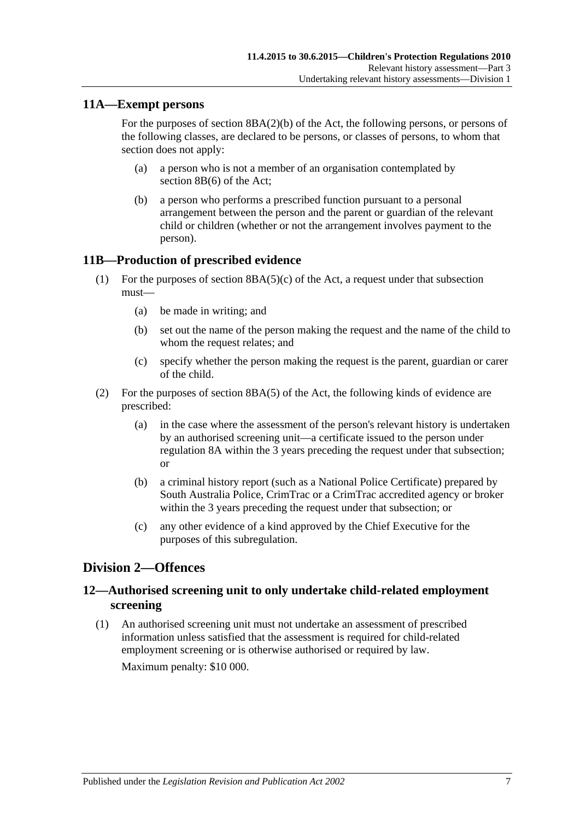### <span id="page-6-0"></span>**11A—Exempt persons**

For the purposes of section 8BA(2)(b) of the Act, the following persons, or persons of the following classes, are declared to be persons, or classes of persons, to whom that section does not apply:

- (a) a person who is not a member of an organisation contemplated by section 8B(6) of the Act;
- (b) a person who performs a prescribed function pursuant to a personal arrangement between the person and the parent or guardian of the relevant child or children (whether or not the arrangement involves payment to the person).

### <span id="page-6-1"></span>**11B—Production of prescribed evidence**

- (1) For the purposes of section  $8BA(5)(c)$  of the Act, a request under that subsection must—
	- (a) be made in writing; and
	- (b) set out the name of the person making the request and the name of the child to whom the request relates; and
	- (c) specify whether the person making the request is the parent, guardian or carer of the child.
- (2) For the purposes of section 8BA(5) of the Act, the following kinds of evidence are prescribed:
	- (a) in the case where the assessment of the person's relevant history is undertaken by an authorised screening unit—a certificate issued to the person under [regulation](#page-4-0) 8A within the 3 years preceding the request under that subsection; or
	- (b) a criminal history report (such as a National Police Certificate) prepared by South Australia Police, CrimTrac or a CrimTrac accredited agency or broker within the 3 years preceding the request under that subsection; or
	- (c) any other evidence of a kind approved by the Chief Executive for the purposes of this subregulation.

## <span id="page-6-2"></span>**Division 2—Offences**

## <span id="page-6-3"></span>**12—Authorised screening unit to only undertake child-related employment screening**

(1) An authorised screening unit must not undertake an assessment of prescribed information unless satisfied that the assessment is required for child-related employment screening or is otherwise authorised or required by law.

Maximum penalty: \$10 000.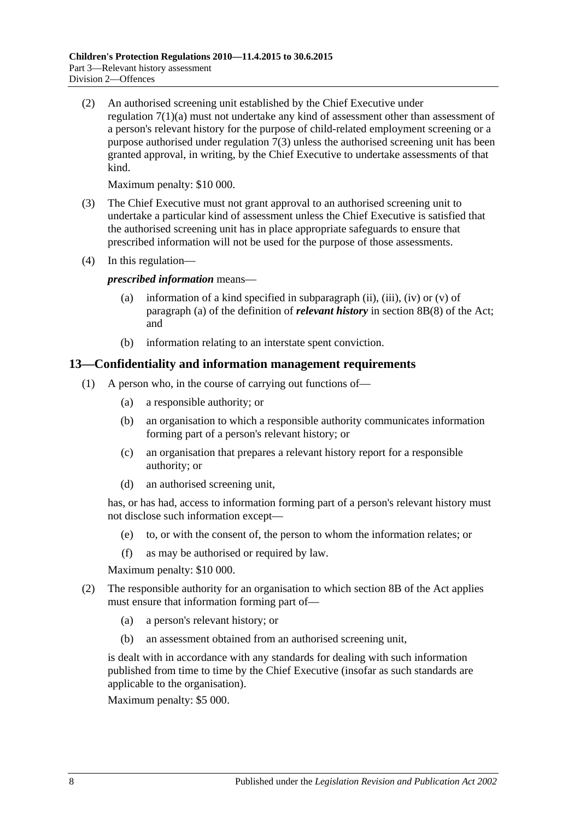(2) An authorised screening unit established by the Chief Executive under [regulation](#page-3-4) 7(1)(a) must not undertake any kind of assessment other than assessment of a person's relevant history for the purpose of child-related employment screening or a purpose authorised under [regulation](#page-3-5) 7(3) unless the authorised screening unit has been granted approval, in writing, by the Chief Executive to undertake assessments of that kind.

Maximum penalty: \$10 000.

- (3) The Chief Executive must not grant approval to an authorised screening unit to undertake a particular kind of assessment unless the Chief Executive is satisfied that the authorised screening unit has in place appropriate safeguards to ensure that prescribed information will not be used for the purpose of those assessments.
- (4) In this regulation—

*prescribed information* means—

- (a) information of a kind specified in subparagraph (ii), (iii), (iv) or  $(v)$  of paragraph (a) of the definition of *relevant history* in section 8B(8) of the Act; and
- (b) information relating to an interstate spent conviction.

#### <span id="page-7-0"></span>**13—Confidentiality and information management requirements**

- (1) A person who, in the course of carrying out functions of—
	- (a) a responsible authority; or
	- (b) an organisation to which a responsible authority communicates information forming part of a person's relevant history; or
	- (c) an organisation that prepares a relevant history report for a responsible authority; or
	- (d) an authorised screening unit,

has, or has had, access to information forming part of a person's relevant history must not disclose such information except—

- (e) to, or with the consent of, the person to whom the information relates; or
- (f) as may be authorised or required by law.

Maximum penalty: \$10 000.

- (2) The responsible authority for an organisation to which section 8B of the Act applies must ensure that information forming part of—
	- (a) a person's relevant history; or
	- (b) an assessment obtained from an authorised screening unit,

is dealt with in accordance with any standards for dealing with such information published from time to time by the Chief Executive (insofar as such standards are applicable to the organisation).

Maximum penalty: \$5 000.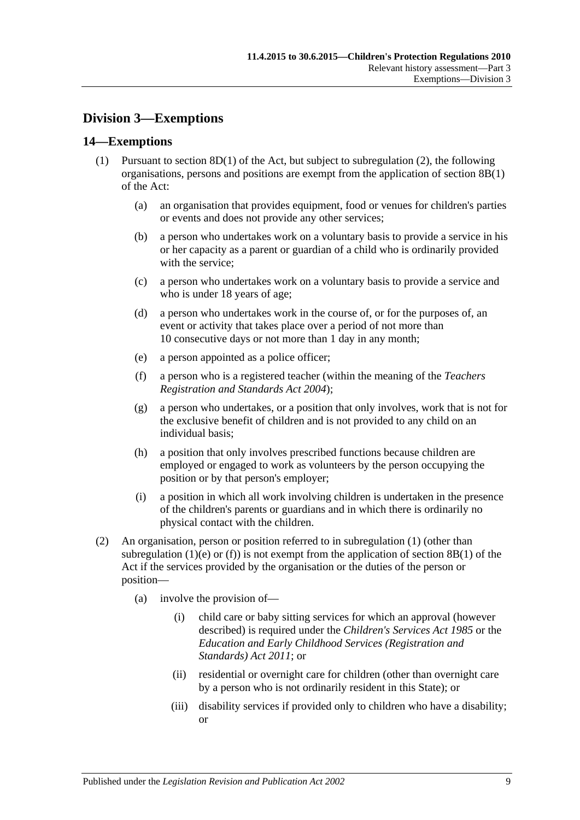## <span id="page-8-0"></span>**Division 3—Exemptions**

#### <span id="page-8-3"></span><span id="page-8-1"></span>**14—Exemptions**

- <span id="page-8-4"></span>(1) Pursuant to section  $8D(1)$  of the Act, but subject to [subregulation](#page-8-2) (2), the following organisations, persons and positions are exempt from the application of section 8B(1) of the Act:
	- (a) an organisation that provides equipment, food or venues for children's parties or events and does not provide any other services;
	- (b) a person who undertakes work on a voluntary basis to provide a service in his or her capacity as a parent or guardian of a child who is ordinarily provided with the service;
	- (c) a person who undertakes work on a voluntary basis to provide a service and who is under 18 years of age;
	- (d) a person who undertakes work in the course of, or for the purposes of, an event or activity that takes place over a period of not more than 10 consecutive days or not more than 1 day in any month;
	- (e) a person appointed as a police officer;
	- (f) a person who is a registered teacher (within the meaning of the *[Teachers](http://www.legislation.sa.gov.au/index.aspx?action=legref&type=act&legtitle=Teachers%20Registration%20and%20Standards%20Act%202004)  [Registration and Standards Act](http://www.legislation.sa.gov.au/index.aspx?action=legref&type=act&legtitle=Teachers%20Registration%20and%20Standards%20Act%202004) 2004*);
	- (g) a person who undertakes, or a position that only involves, work that is not for the exclusive benefit of children and is not provided to any child on an individual basis;
	- (h) a position that only involves prescribed functions because children are employed or engaged to work as volunteers by the person occupying the position or by that person's employer;
	- (i) a position in which all work involving children is undertaken in the presence of the children's parents or guardians and in which there is ordinarily no physical contact with the children.
- <span id="page-8-5"></span><span id="page-8-2"></span>(2) An organisation, person or position referred to in [subregulation](#page-8-3) (1) (other than [subregulation](#page-8-4) (1)(e) or [\(f\)\)](#page-8-5) is not exempt from the application of section 8B(1) of the Act if the services provided by the organisation or the duties of the person or position—
	- (a) involve the provision of—
		- (i) child care or baby sitting services for which an approval (however described) is required under the *[Children's Services Act](http://www.legislation.sa.gov.au/index.aspx?action=legref&type=act&legtitle=Childrens%20Services%20Act%201985) 1985* or the *[Education and Early Childhood Services \(Registration and](http://www.legislation.sa.gov.au/index.aspx?action=legref&type=act&legtitle=Education%20and%20Early%20Childhood%20Services%20(Registration%20and%20Standards)%20Act%202011)  [Standards\) Act](http://www.legislation.sa.gov.au/index.aspx?action=legref&type=act&legtitle=Education%20and%20Early%20Childhood%20Services%20(Registration%20and%20Standards)%20Act%202011) 2011*; or
		- (ii) residential or overnight care for children (other than overnight care by a person who is not ordinarily resident in this State); or
		- (iii) disability services if provided only to children who have a disability; or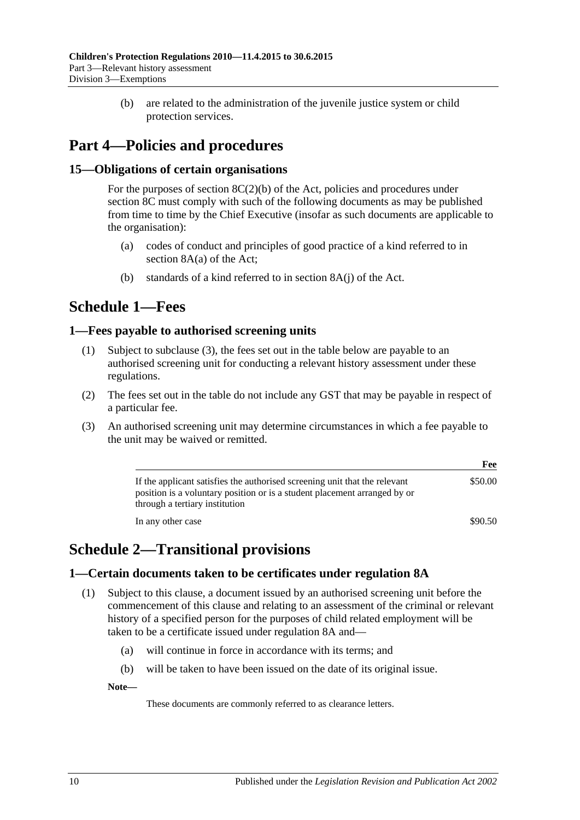(b) are related to the administration of the juvenile justice system or child protection services.

# <span id="page-9-0"></span>**Part 4—Policies and procedures**

## <span id="page-9-1"></span>**15—Obligations of certain organisations**

For the purposes of section  $8C(2)(b)$  of the Act, policies and procedures under section 8C must comply with such of the following documents as may be published from time to time by the Chief Executive (insofar as such documents are applicable to the organisation):

- (a) codes of conduct and principles of good practice of a kind referred to in section 8A(a) of the Act;
- (b) standards of a kind referred to in section 8A(j) of the Act.

## <span id="page-9-2"></span>**Schedule 1—Fees**

#### <span id="page-9-3"></span>**1—Fees payable to authorised screening units**

- (1) Subject to [subclause](#page-9-6) (3), the fees set out in the table below are payable to an authorised screening unit for conducting a relevant history assessment under these regulations.
- (2) The fees set out in the table do not include any GST that may be payable in respect of a particular fee.
- <span id="page-9-6"></span>(3) An authorised screening unit may determine circumstances in which a fee payable to the unit may be waived or remitted.

|                                                                                                                                                                                           | Fee     |
|-------------------------------------------------------------------------------------------------------------------------------------------------------------------------------------------|---------|
| If the applicant satisfies the authorised screening unit that the relevant<br>position is a voluntary position or is a student placement arranged by or<br>through a tertiary institution | \$50.00 |
| In any other case                                                                                                                                                                         | \$90.50 |

# <span id="page-9-4"></span>**Schedule 2—Transitional provisions**

#### <span id="page-9-7"></span><span id="page-9-5"></span>**1—Certain documents taken to be certificates under regulation 8A**

- (1) Subject to this clause, a document issued by an authorised screening unit before the commencement of this clause and relating to an assessment of the criminal or relevant history of a specified person for the purposes of child related employment will be taken to be a certificate issued under [regulation](#page-4-0) 8A and—
	- (a) will continue in force in accordance with its terms; and
	- (b) will be taken to have been issued on the date of its original issue.

**Note—**

These documents are commonly referred to as clearance letters.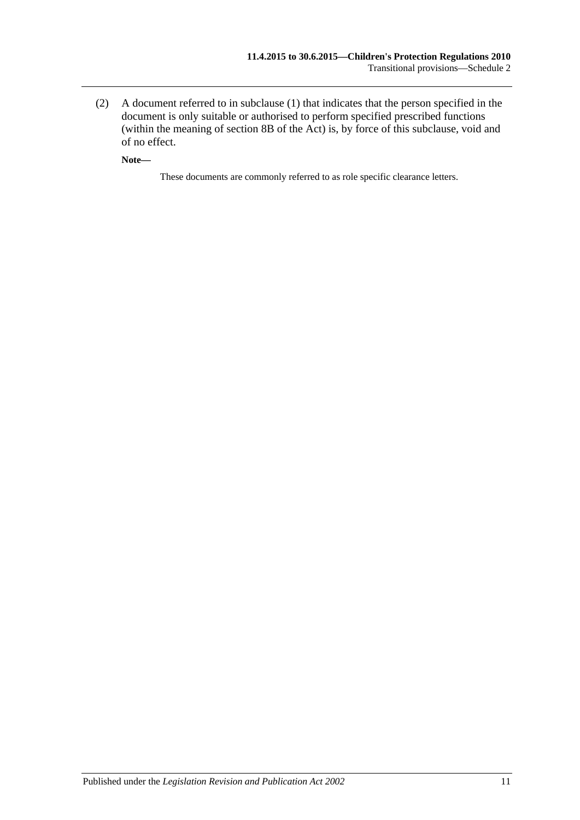(2) A document referred to in [subclause](#page-9-7) (1) that indicates that the person specified in the document is only suitable or authorised to perform specified prescribed functions (within the meaning of section 8B of the Act) is, by force of this subclause, void and of no effect.

**Note—**

These documents are commonly referred to as role specific clearance letters.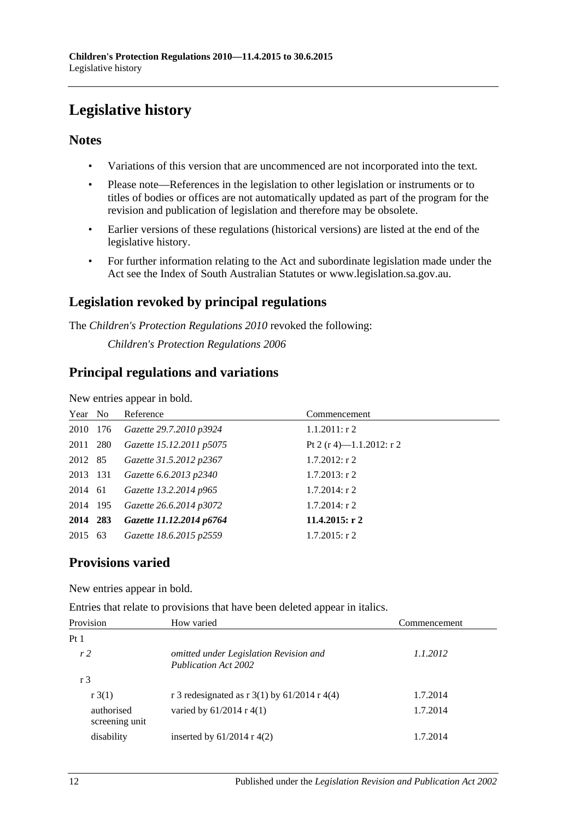# <span id="page-11-0"></span>**Legislative history**

## **Notes**

- Variations of this version that are uncommenced are not incorporated into the text.
- Please note—References in the legislation to other legislation or instruments or to titles of bodies or offices are not automatically updated as part of the program for the revision and publication of legislation and therefore may be obsolete.
- Earlier versions of these regulations (historical versions) are listed at the end of the legislative history.
- For further information relating to the Act and subordinate legislation made under the Act see the Index of South Australian Statutes or www.legislation.sa.gov.au.

## **Legislation revoked by principal regulations**

The *Children's Protection Regulations 2010* revoked the following:

*Children's Protection Regulations 2006*

## **Principal regulations and variations**

New entries appear in bold.

| Year No  | Reference                | Commencement             |
|----------|--------------------------|--------------------------|
| 2010 176 | Gazette 29.7.2010 p3924  | $1.1.2011:$ r 2          |
| 2011 280 | Gazette 15.12.2011 p5075 | Pt 2 (r 4)—1.1.2012: r 2 |
| 2012 85  | Gazette 31.5.2012 p2367  | $1.7.2012$ : r 2         |
| 2013 131 | Gazette 6.6.2013 p2340   | $1.7.2013$ : r 2         |
| 2014 61  | Gazette 13.2.2014 p965   | $1.7.2014$ : r 2         |
| 2014 195 | Gazette 26.6.2014 p3072  | $1.7.2014$ : r 2         |
| 2014 283 | Gazette 11.12.2014 p6764 | 11.4.2015: $r$ 2         |
| 2015 63  | Gazette 18.6.2015 p2559  | $1.7.2015$ : r 2         |

## **Provisions varied**

New entries appear in bold.

Entries that relate to provisions that have been deleted appear in italics.

| Provision                    | How varied                                                            | Commencement |
|------------------------------|-----------------------------------------------------------------------|--------------|
| Pt <sub>1</sub>              |                                                                       |              |
| r <sub>2</sub>               | omitted under Legislation Revision and<br><b>Publication Act 2002</b> | 1.1.2012     |
| r 3                          |                                                                       |              |
| $r \cdot 3(1)$               | r 3 redesignated as r $3(1)$ by 61/2014 r 4(4)                        | 1.7.2014     |
| authorised<br>screening unit | varied by $61/2014$ r 4(1)                                            | 1.7.2014     |
| disability                   | inserted by $61/2014$ r 4(2)                                          | 1.7.2014     |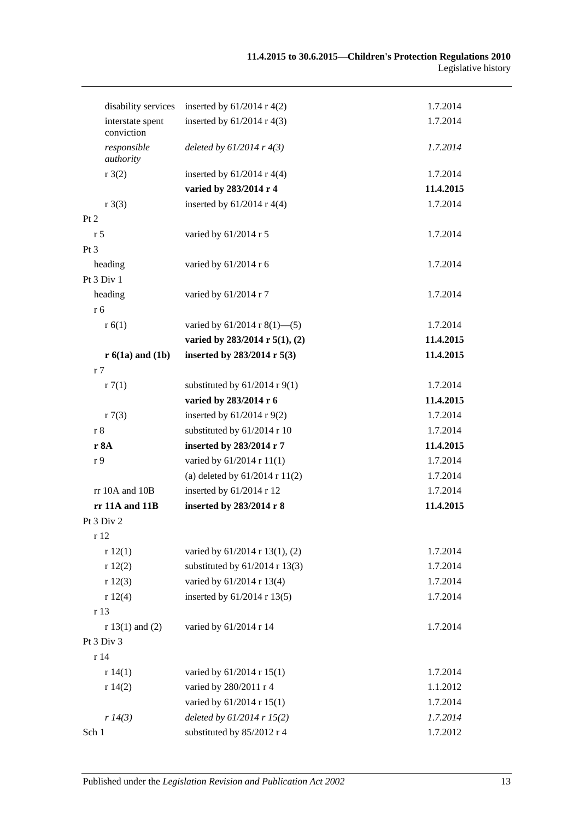| disability services            | inserted by $61/2014$ r 4(2)        | 1.7.2014  |
|--------------------------------|-------------------------------------|-----------|
| interstate spent<br>conviction | inserted by $61/2014$ r 4(3)        | 1.7.2014  |
| responsible<br>authority       | deleted by $61/2014$ r $4(3)$       | 1.7.2014  |
| r3(2)                          | inserted by $61/2014$ r 4(4)        | 1.7.2014  |
|                                | varied by 283/2014 r 4              | 11.4.2015 |
| r3(3)                          | inserted by $61/2014$ r 4(4)        | 1.7.2014  |
| Pt 2                           |                                     |           |
| r <sub>5</sub>                 | varied by 61/2014 r 5               | 1.7.2014  |
| Pt <sub>3</sub>                |                                     |           |
| heading                        | varied by 61/2014 r 6               | 1.7.2014  |
| Pt 3 Div 1                     |                                     |           |
| heading                        | varied by 61/2014 r 7               | 1.7.2014  |
| r 6                            |                                     |           |
| r(6(1))                        | varied by $61/2014$ r $8(1)$ —(5)   | 1.7.2014  |
|                                | varied by $283/2014$ r $5(1)$ , (2) | 11.4.2015 |
| $r 6(1a)$ and $(1b)$           | inserted by 283/2014 r 5(3)         | 11.4.2015 |
| r 7                            |                                     |           |
| r7(1)                          | substituted by $61/2014$ r $9(1)$   | 1.7.2014  |
|                                | varied by 283/2014 r 6              | 11.4.2015 |
| r7(3)                          | inserted by $61/2014$ r 9(2)        | 1.7.2014  |
| r 8                            | substituted by 61/2014 r 10         | 1.7.2014  |
| r 8A                           | inserted by 283/2014 r 7            | 11.4.2015 |
| r <sub>9</sub>                 | varied by 61/2014 r 11(1)           | 1.7.2014  |
|                                | (a) deleted by $61/2014$ r $11(2)$  | 1.7.2014  |
| rr 10A and 10B                 | inserted by $61/2014$ r 12          | 1.7.2014  |
| rr 11A and 11B                 | inserted by 283/2014 r 8            | 11.4.2015 |
| Pt 3 Div 2                     |                                     |           |
| r 12                           |                                     |           |
| r12(1)                         | varied by 61/2014 r 13(1), (2)      | 1.7.2014  |
| r12(2)                         | substituted by $61/2014$ r 13(3)    | 1.7.2014  |
| r12(3)                         | varied by 61/2014 r 13(4)           | 1.7.2014  |
| r12(4)                         | inserted by 61/2014 r 13(5)         | 1.7.2014  |
| r 13                           |                                     |           |
| $r 13(1)$ and (2)              | varied by 61/2014 r 14              | 1.7.2014  |
| Pt 3 Div 3                     |                                     |           |
| r 14                           |                                     |           |
| r 14(1)                        | varied by 61/2014 r 15(1)           | 1.7.2014  |
| r 14(2)                        | varied by 280/2011 r 4              | 1.1.2012  |
|                                | varied by 61/2014 r 15(1)           | 1.7.2014  |
| r 14(3)                        | deleted by $61/2014$ r $15(2)$      | 1.7.2014  |
| Sch 1                          | substituted by 85/2012 r 4          | 1.7.2012  |